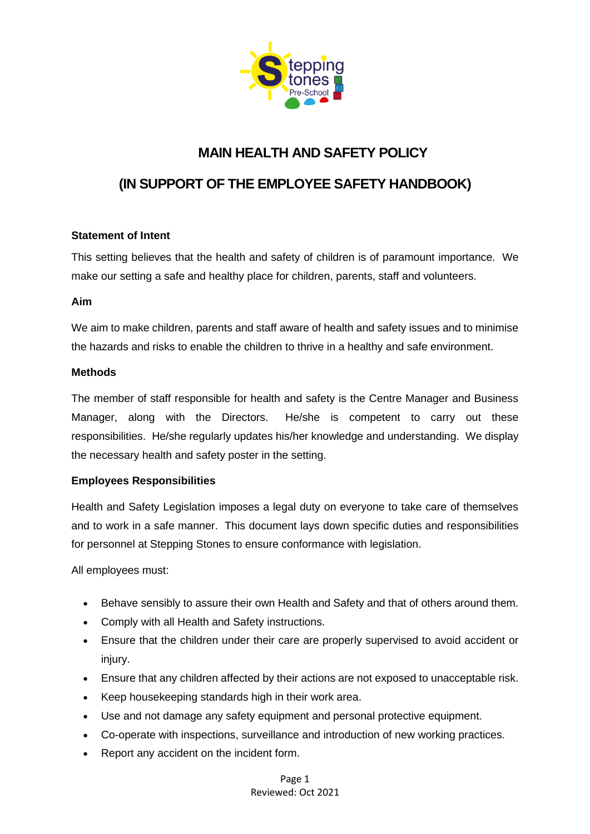

# **MAIN HEALTH AND SAFETY POLICY**

# **(IN SUPPORT OF THE EMPLOYEE SAFETY HANDBOOK)**

# **Statement of Intent**

This setting believes that the health and safety of children is of paramount importance. We make our setting a safe and healthy place for children, parents, staff and volunteers.

#### **Aim**

We aim to make children, parents and staff aware of health and safety issues and to minimise the hazards and risks to enable the children to thrive in a healthy and safe environment.

## **Methods**

The member of staff responsible for health and safety is the Centre Manager and Business Manager, along with the Directors. He/she is competent to carry out these responsibilities. He/she regularly updates his/her knowledge and understanding. We display the necessary health and safety poster in the setting.

# **Employees Responsibilities**

Health and Safety Legislation imposes a legal duty on everyone to take care of themselves and to work in a safe manner. This document lays down specific duties and responsibilities for personnel at Stepping Stones to ensure conformance with legislation.

All employees must:

- Behave sensibly to assure their own Health and Safety and that of others around them.
- Comply with all Health and Safety instructions.
- Ensure that the children under their care are properly supervised to avoid accident or injury.
- Ensure that any children affected by their actions are not exposed to unacceptable risk.
- Keep housekeeping standards high in their work area.
- Use and not damage any safety equipment and personal protective equipment.
- Co-operate with inspections, surveillance and introduction of new working practices.
- Report any accident on the incident form.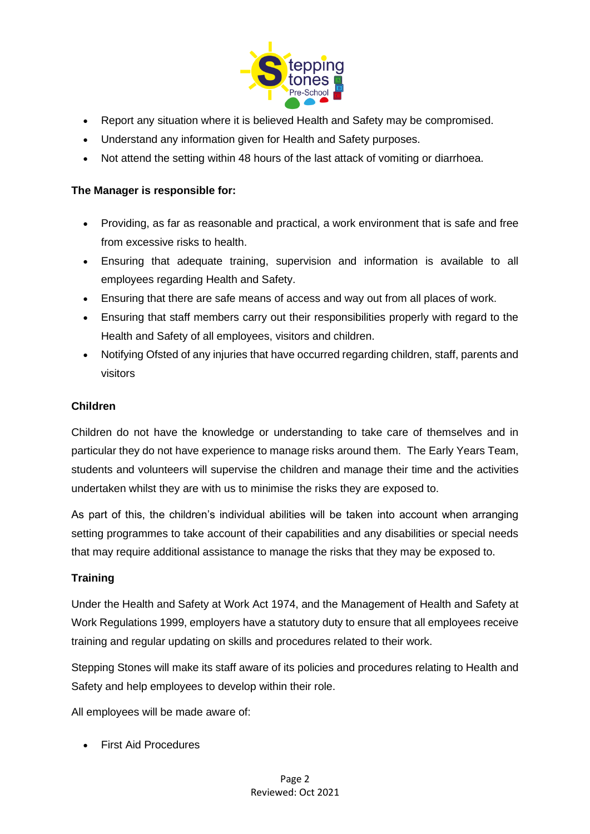

- Report any situation where it is believed Health and Safety may be compromised.
- Understand any information given for Health and Safety purposes.
- Not attend the setting within 48 hours of the last attack of vomiting or diarrhoea.

## **The Manager is responsible for:**

- Providing, as far as reasonable and practical, a work environment that is safe and free from excessive risks to health.
- Ensuring that adequate training, supervision and information is available to all employees regarding Health and Safety.
- Ensuring that there are safe means of access and way out from all places of work.
- Ensuring that staff members carry out their responsibilities properly with regard to the Health and Safety of all employees, visitors and children.
- Notifying Ofsted of any injuries that have occurred regarding children, staff, parents and visitors

## **Children**

Children do not have the knowledge or understanding to take care of themselves and in particular they do not have experience to manage risks around them. The Early Years Team, students and volunteers will supervise the children and manage their time and the activities undertaken whilst they are with us to minimise the risks they are exposed to.

As part of this, the children's individual abilities will be taken into account when arranging setting programmes to take account of their capabilities and any disabilities or special needs that may require additional assistance to manage the risks that they may be exposed to.

#### **Training**

Under the Health and Safety at Work Act 1974, and the Management of Health and Safety at Work Regulations 1999, employers have a statutory duty to ensure that all employees receive training and regular updating on skills and procedures related to their work.

Stepping Stones will make its staff aware of its policies and procedures relating to Health and Safety and help employees to develop within their role.

All employees will be made aware of:

• First Aid Procedures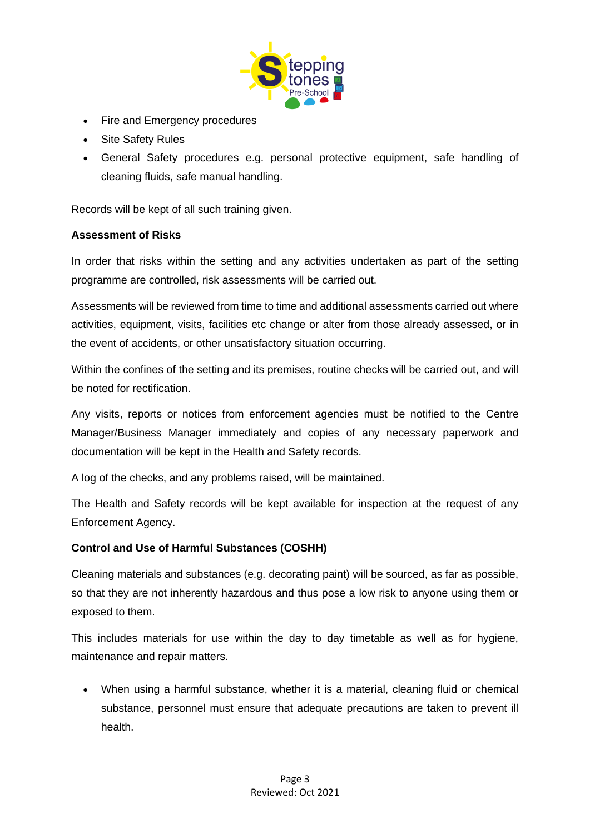

- Fire and Emergency procedures
- Site Safety Rules
- General Safety procedures e.g. personal protective equipment, safe handling of cleaning fluids, safe manual handling.

Records will be kept of all such training given.

## **Assessment of Risks**

In order that risks within the setting and any activities undertaken as part of the setting programme are controlled, risk assessments will be carried out.

Assessments will be reviewed from time to time and additional assessments carried out where activities, equipment, visits, facilities etc change or alter from those already assessed, or in the event of accidents, or other unsatisfactory situation occurring.

Within the confines of the setting and its premises, routine checks will be carried out, and will be noted for rectification.

Any visits, reports or notices from enforcement agencies must be notified to the Centre Manager/Business Manager immediately and copies of any necessary paperwork and documentation will be kept in the Health and Safety records.

A log of the checks, and any problems raised, will be maintained.

The Health and Safety records will be kept available for inspection at the request of any Enforcement Agency.

# **Control and Use of Harmful Substances (COSHH)**

Cleaning materials and substances (e.g. decorating paint) will be sourced, as far as possible, so that they are not inherently hazardous and thus pose a low risk to anyone using them or exposed to them.

This includes materials for use within the day to day timetable as well as for hygiene, maintenance and repair matters.

• When using a harmful substance, whether it is a material, cleaning fluid or chemical substance, personnel must ensure that adequate precautions are taken to prevent ill health.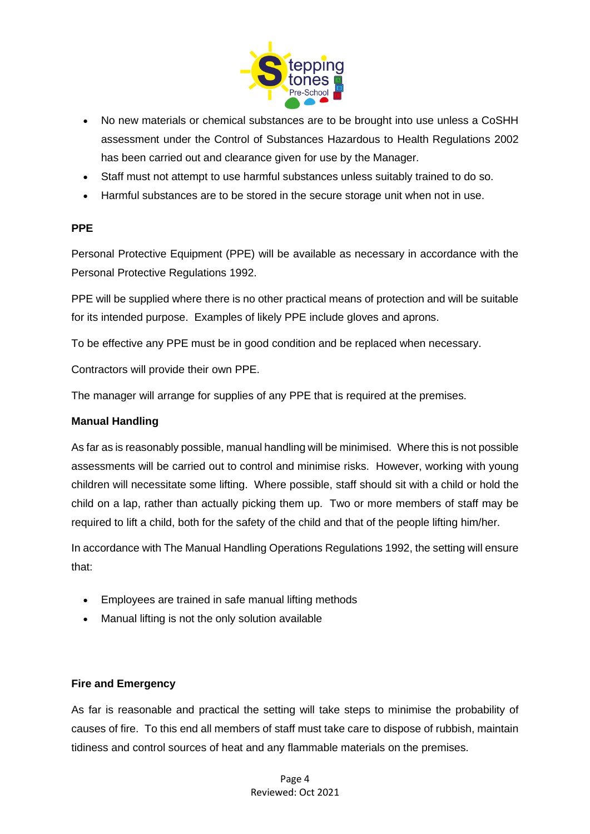

- No new materials or chemical substances are to be brought into use unless a CoSHH assessment under the Control of Substances Hazardous to Health Regulations 2002 has been carried out and clearance given for use by the Manager.
- Staff must not attempt to use harmful substances unless suitably trained to do so.
- Harmful substances are to be stored in the secure storage unit when not in use.

# **PPE**

Personal Protective Equipment (PPE) will be available as necessary in accordance with the Personal Protective Regulations 1992.

PPE will be supplied where there is no other practical means of protection and will be suitable for its intended purpose. Examples of likely PPE include gloves and aprons.

To be effective any PPE must be in good condition and be replaced when necessary.

Contractors will provide their own PPE.

The manager will arrange for supplies of any PPE that is required at the premises.

#### **Manual Handling**

As far as is reasonably possible, manual handling will be minimised. Where this is not possible assessments will be carried out to control and minimise risks. However, working with young children will necessitate some lifting. Where possible, staff should sit with a child or hold the child on a lap, rather than actually picking them up. Two or more members of staff may be required to lift a child, both for the safety of the child and that of the people lifting him/her.

In accordance with The Manual Handling Operations Regulations 1992, the setting will ensure that:

- Employees are trained in safe manual lifting methods
- Manual lifting is not the only solution available

#### **Fire and Emergency**

As far is reasonable and practical the setting will take steps to minimise the probability of causes of fire. To this end all members of staff must take care to dispose of rubbish, maintain tidiness and control sources of heat and any flammable materials on the premises.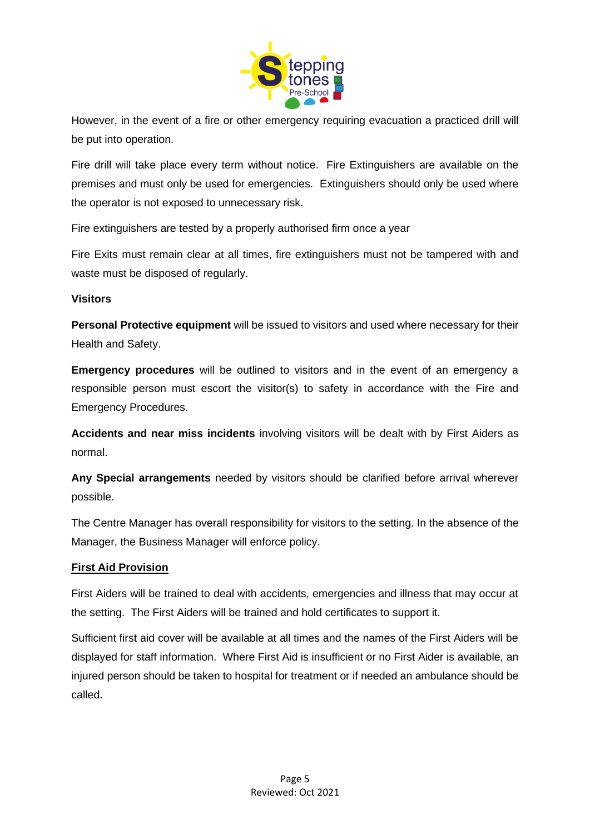

However, in the event of a fire or other emergency requiring evacuation a practiced drill will be put into operation.

Fire drill will take place every term without notice. Fire Extinguishers are available on the premises and must only be used for emergencies. Extinguishers should only be used where the operator is not exposed to unnecessary risk.

Fire extinguishers are tested by a properly authorised firm once a year

Fire Exits must remain clear at all times, fire extinguishers must not be tampered with and waste must be disposed of regularly.

#### **Visitors**

**Personal Protective equipment** will be issued to visitors and used where necessary for their Health and Safety.

**Emergency procedures** will be outlined to visitors and in the event of an emergency a responsible person must escort the visitor(s) to safety in accordance with the Fire and Emergency Procedures.

**Accidents and near miss incidents** involving visitors will be dealt with by First Aiders as normal.

**Any Special arrangements** needed by visitors should be clarified before arrival wherever possible.

The Centre Manager has overall responsibility for visitors to the setting. In the absence of the Manager, the Business Manager will enforce policy.

# **First Aid Provision**

First Aiders will be trained to deal with accidents, emergencies and illness that may occur at the setting. The First Aiders will be trained and hold certificates to support it.

Sufficient first aid cover will be available at all times and the names of the First Aiders will be displayed for staff information. Where First Aid is insufficient or no First Aider is available, an injured person should be taken to hospital for treatment or if needed an ambulance should be called.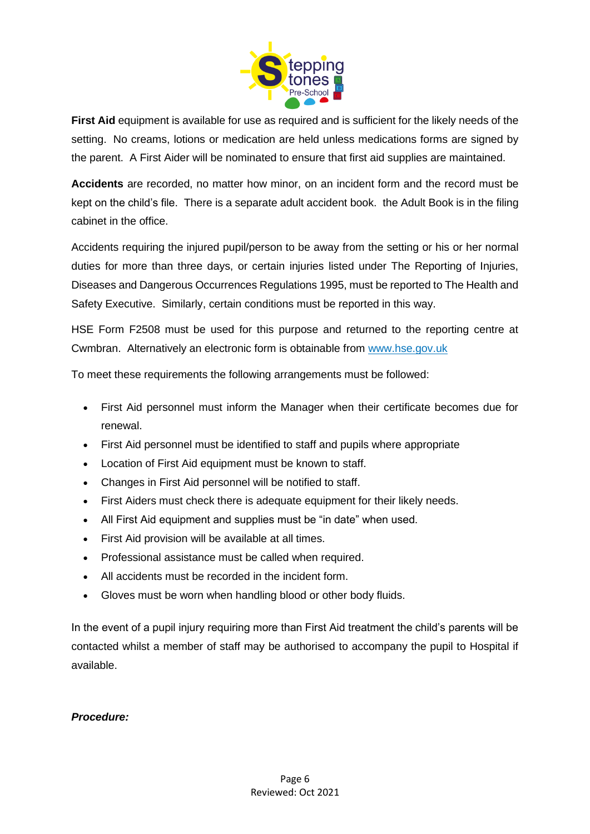

**First Aid** equipment is available for use as required and is sufficient for the likely needs of the setting. No creams, lotions or medication are held unless medications forms are signed by the parent. A First Aider will be nominated to ensure that first aid supplies are maintained.

**Accidents** are recorded, no matter how minor, on an incident form and the record must be kept on the child's file. There is a separate adult accident book. the Adult Book is in the filing cabinet in the office.

Accidents requiring the injured pupil/person to be away from the setting or his or her normal duties for more than three days, or certain injuries listed under The Reporting of Injuries, Diseases and Dangerous Occurrences Regulations 1995, must be reported to The Health and Safety Executive. Similarly, certain conditions must be reported in this way.

HSE Form F2508 must be used for this purpose and returned to the reporting centre at Cwmbran. Alternatively an electronic form is obtainable from [www.hse.gov.uk](http://www.hse.gov.uk/)

To meet these requirements the following arrangements must be followed:

- First Aid personnel must inform the Manager when their certificate becomes due for renewal.
- First Aid personnel must be identified to staff and pupils where appropriate
- Location of First Aid equipment must be known to staff.
- Changes in First Aid personnel will be notified to staff.
- First Aiders must check there is adequate equipment for their likely needs.
- All First Aid equipment and supplies must be "in date" when used.
- First Aid provision will be available at all times.
- Professional assistance must be called when required.
- All accidents must be recorded in the incident form.
- Gloves must be worn when handling blood or other body fluids.

In the event of a pupil injury requiring more than First Aid treatment the child's parents will be contacted whilst a member of staff may be authorised to accompany the pupil to Hospital if available.

# *Procedure:*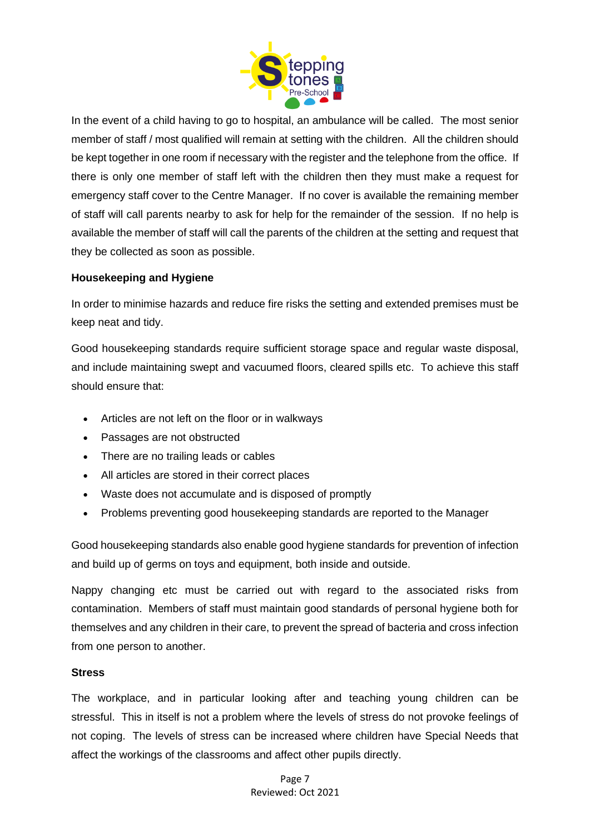

In the event of a child having to go to hospital, an ambulance will be called. The most senior member of staff / most qualified will remain at setting with the children. All the children should be kept together in one room if necessary with the register and the telephone from the office. If there is only one member of staff left with the children then they must make a request for emergency staff cover to the Centre Manager. If no cover is available the remaining member of staff will call parents nearby to ask for help for the remainder of the session. If no help is available the member of staff will call the parents of the children at the setting and request that they be collected as soon as possible.

## **Housekeeping and Hygiene**

In order to minimise hazards and reduce fire risks the setting and extended premises must be keep neat and tidy.

Good housekeeping standards require sufficient storage space and regular waste disposal, and include maintaining swept and vacuumed floors, cleared spills etc. To achieve this staff should ensure that:

- Articles are not left on the floor or in walkways
- Passages are not obstructed
- There are no trailing leads or cables
- All articles are stored in their correct places
- Waste does not accumulate and is disposed of promptly
- Problems preventing good housekeeping standards are reported to the Manager

Good housekeeping standards also enable good hygiene standards for prevention of infection and build up of germs on toys and equipment, both inside and outside.

Nappy changing etc must be carried out with regard to the associated risks from contamination. Members of staff must maintain good standards of personal hygiene both for themselves and any children in their care, to prevent the spread of bacteria and cross infection from one person to another.

#### **Stress**

The workplace, and in particular looking after and teaching young children can be stressful. This in itself is not a problem where the levels of stress do not provoke feelings of not coping. The levels of stress can be increased where children have Special Needs that affect the workings of the classrooms and affect other pupils directly.

> Page 7 Reviewed: Oct 2021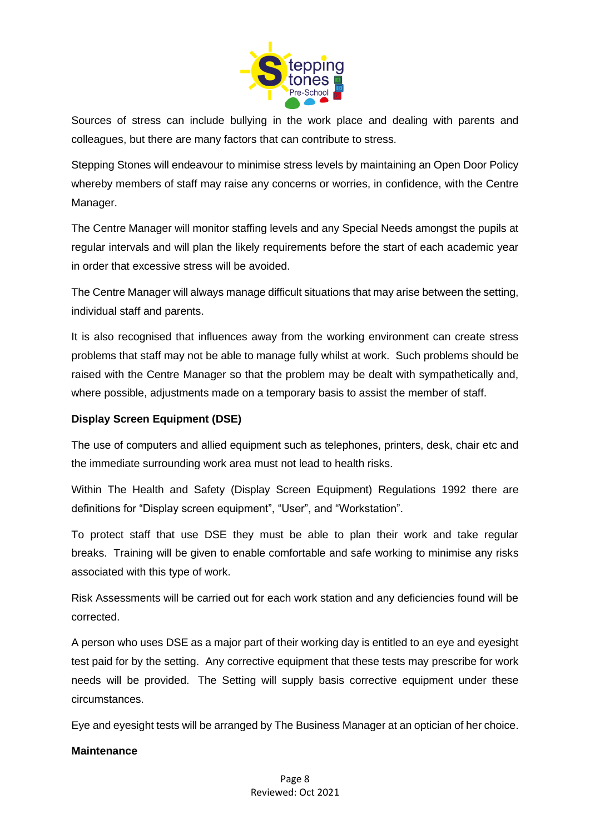

Sources of stress can include bullying in the work place and dealing with parents and colleagues, but there are many factors that can contribute to stress.

Stepping Stones will endeavour to minimise stress levels by maintaining an Open Door Policy whereby members of staff may raise any concerns or worries, in confidence, with the Centre Manager.

The Centre Manager will monitor staffing levels and any Special Needs amongst the pupils at regular intervals and will plan the likely requirements before the start of each academic year in order that excessive stress will be avoided.

The Centre Manager will always manage difficult situations that may arise between the setting, individual staff and parents.

It is also recognised that influences away from the working environment can create stress problems that staff may not be able to manage fully whilst at work. Such problems should be raised with the Centre Manager so that the problem may be dealt with sympathetically and, where possible, adjustments made on a temporary basis to assist the member of staff.

# **Display Screen Equipment (DSE)**

The use of computers and allied equipment such as telephones, printers, desk, chair etc and the immediate surrounding work area must not lead to health risks.

Within The Health and Safety (Display Screen Equipment) Regulations 1992 there are definitions for "Display screen equipment", "User", and "Workstation".

To protect staff that use DSE they must be able to plan their work and take regular breaks. Training will be given to enable comfortable and safe working to minimise any risks associated with this type of work.

Risk Assessments will be carried out for each work station and any deficiencies found will be corrected.

A person who uses DSE as a major part of their working day is entitled to an eye and eyesight test paid for by the setting. Any corrective equipment that these tests may prescribe for work needs will be provided. The Setting will supply basis corrective equipment under these circumstances.

Eye and eyesight tests will be arranged by The Business Manager at an optician of her choice.

# **Maintenance**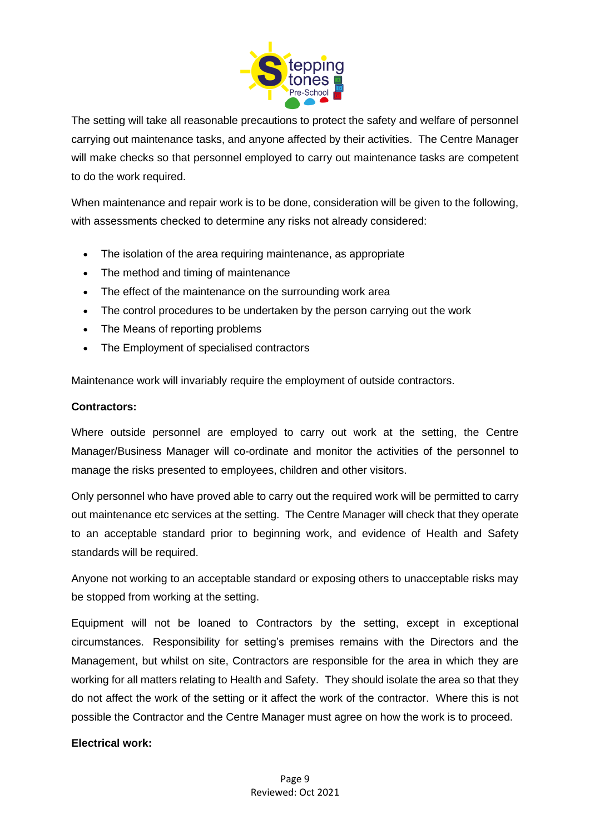

The setting will take all reasonable precautions to protect the safety and welfare of personnel carrying out maintenance tasks, and anyone affected by their activities. The Centre Manager will make checks so that personnel employed to carry out maintenance tasks are competent to do the work required.

When maintenance and repair work is to be done, consideration will be given to the following, with assessments checked to determine any risks not already considered:

- The isolation of the area requiring maintenance, as appropriate
- The method and timing of maintenance
- The effect of the maintenance on the surrounding work area
- The control procedures to be undertaken by the person carrying out the work
- The Means of reporting problems
- The Employment of specialised contractors

Maintenance work will invariably require the employment of outside contractors.

#### **Contractors:**

Where outside personnel are employed to carry out work at the setting, the Centre Manager/Business Manager will co-ordinate and monitor the activities of the personnel to manage the risks presented to employees, children and other visitors.

Only personnel who have proved able to carry out the required work will be permitted to carry out maintenance etc services at the setting. The Centre Manager will check that they operate to an acceptable standard prior to beginning work, and evidence of Health and Safety standards will be required.

Anyone not working to an acceptable standard or exposing others to unacceptable risks may be stopped from working at the setting.

Equipment will not be loaned to Contractors by the setting, except in exceptional circumstances. Responsibility for setting's premises remains with the Directors and the Management, but whilst on site, Contractors are responsible for the area in which they are working for all matters relating to Health and Safety. They should isolate the area so that they do not affect the work of the setting or it affect the work of the contractor. Where this is not possible the Contractor and the Centre Manager must agree on how the work is to proceed.

#### **Electrical work:**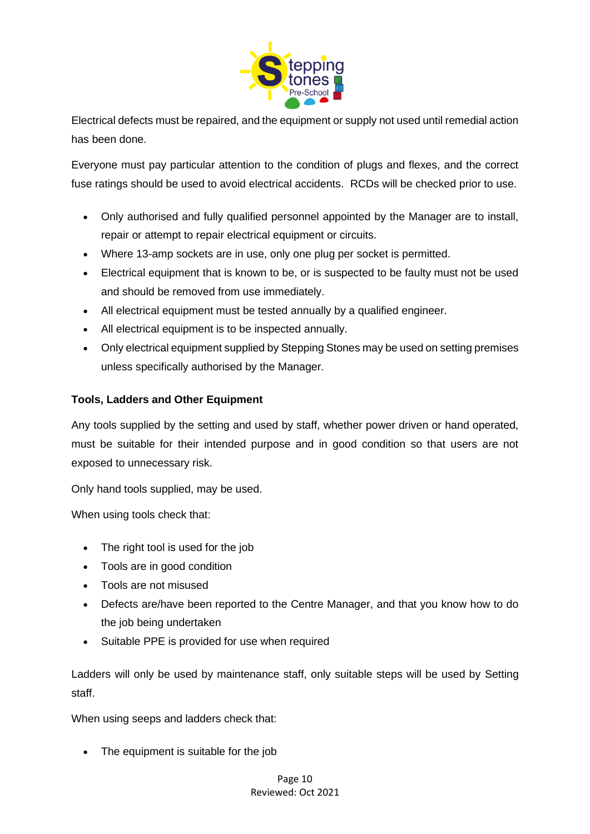

Electrical defects must be repaired, and the equipment or supply not used until remedial action has been done.

Everyone must pay particular attention to the condition of plugs and flexes, and the correct fuse ratings should be used to avoid electrical accidents. RCDs will be checked prior to use.

- Only authorised and fully qualified personnel appointed by the Manager are to install, repair or attempt to repair electrical equipment or circuits.
- Where 13-amp sockets are in use, only one plug per socket is permitted.
- Electrical equipment that is known to be, or is suspected to be faulty must not be used and should be removed from use immediately.
- All electrical equipment must be tested annually by a qualified engineer.
- All electrical equipment is to be inspected annually.
- Only electrical equipment supplied by Stepping Stones may be used on setting premises unless specifically authorised by the Manager.

# **Tools, Ladders and Other Equipment**

Any tools supplied by the setting and used by staff, whether power driven or hand operated, must be suitable for their intended purpose and in good condition so that users are not exposed to unnecessary risk.

Only hand tools supplied, may be used.

When using tools check that:

- The right tool is used for the job
- Tools are in good condition
- Tools are not misused
- Defects are/have been reported to the Centre Manager, and that you know how to do the job being undertaken
- Suitable PPE is provided for use when required

Ladders will only be used by maintenance staff, only suitable steps will be used by Setting staff.

When using seeps and ladders check that:

• The equipment is suitable for the job